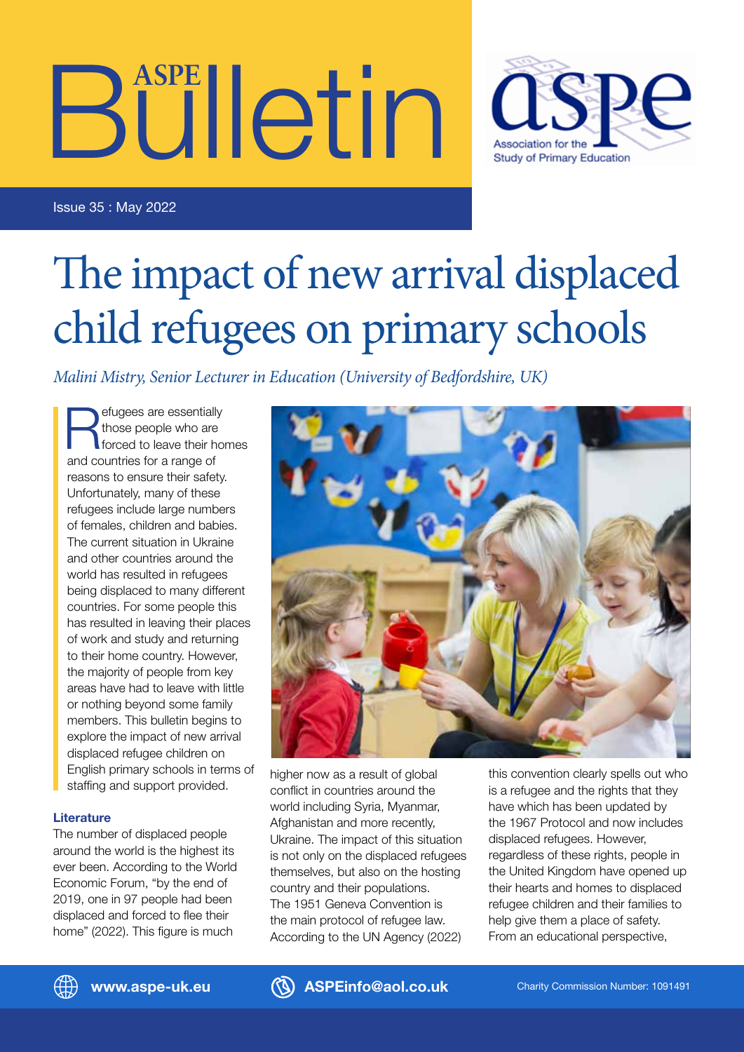# Bulletin **ASPE**



Issue 35 : May 2022

## The impact of new arrival displaced child refugees on primary schools

*Malini Mistry, Senior Lecturer in Education (University of Bedfordshire, UK)*

efugees are essentially<br>those people who are<br>forced to leave their homes<br>and pointing for a manner of those people who are and countries for a range of reasons to ensure their safety. Unfortunately, many of these refugees include large numbers of females, children and babies. The current situation in Ukraine and other countries around the world has resulted in refugees being displaced to many different countries. For some people this has resulted in leaving their places of work and study and returning to their home country. However, the majority of people from key areas have had to leave with little or nothing beyond some family members. This bulletin begins to explore the impact of new arrival displaced refugee children on English primary schools in terms of staffing and support provided.

#### **Literature**

The number of displaced people around the world is the highest its ever been. According to the World Economic Forum, "by the end of 2019, one in 97 people had been displaced and forced to flee their home" (2022). This figure is much



higher now as a result of global conflict in countries around the world including Syria, Myanmar, Afghanistan and more recently, Ukraine. The impact of this situation is not only on the displaced refugees themselves, but also on the hosting country and their populations. The 1951 Geneva Convention is the main protocol of refugee law. According to the UN Agency (2022)

this convention clearly spells out who is a refugee and the rights that they have which has been updated by the 1967 Protocol and now includes displaced refugees. However, regardless of these rights, people in the United Kingdom have opened up their hearts and homes to displaced refugee children and their families to help give them a place of safety. From an educational perspective,



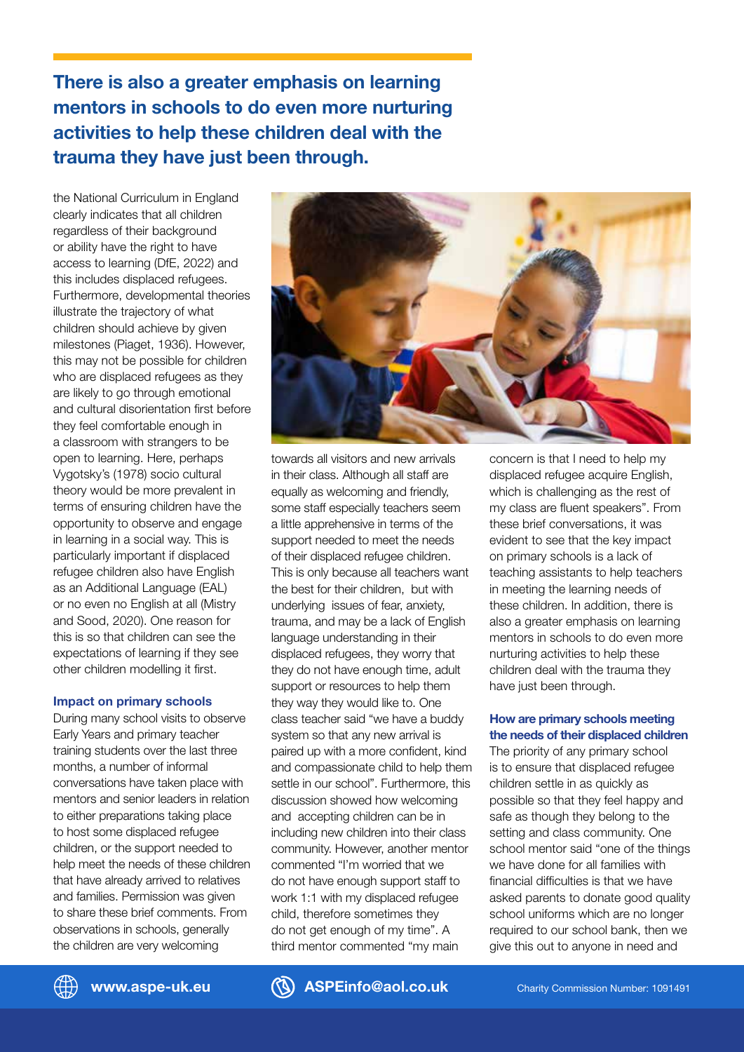**There is also a greater emphasis on learning mentors in schools to do even more nurturing activities to help these children deal with the trauma they have just been through.**

the National Curriculum in England clearly indicates that all children regardless of their background or ability have the right to have access to learning (DfE, 2022) and this includes displaced refugees. Furthermore, developmental theories illustrate the trajectory of what children should achieve by given milestones (Piaget, 1936). However, this may not be possible for children who are displaced refugees as they are likely to go through emotional and cultural disorientation first before they feel comfortable enough in a classroom with strangers to be open to learning. Here, perhaps Vygotsky's (1978) socio cultural theory would be more prevalent in terms of ensuring children have the opportunity to observe and engage in learning in a social way. This is particularly important if displaced refugee children also have English as an Additional Language (EAL) or no even no English at all (Mistry and Sood, 2020). One reason for this is so that children can see the expectations of learning if they see other children modelling it first.

#### **Impact on primary schools**

During many school visits to observe Early Years and primary teacher training students over the last three months, a number of informal conversations have taken place with mentors and senior leaders in relation to either preparations taking place to host some displaced refugee children, or the support needed to help meet the needs of these children that have already arrived to relatives and families. Permission was given to share these brief comments. From observations in schools, generally the children are very welcoming



towards all visitors and new arrivals in their class. Although all staff are equally as welcoming and friendly, some staff especially teachers seem a little apprehensive in terms of the support needed to meet the needs of their displaced refugee children. This is only because all teachers want the best for their children, but with underlying issues of fear, anxiety, trauma, and may be a lack of English language understanding in their displaced refugees, they worry that they do not have enough time, adult support or resources to help them they way they would like to. One class teacher said "we have a buddy system so that any new arrival is paired up with a more confident, kind and compassionate child to help them settle in our school". Furthermore, this discussion showed how welcoming and accepting children can be in including new children into their class community. However, another mentor commented "I'm worried that we do not have enough support staff to work 1:1 with my displaced refugee child, therefore sometimes they do not get enough of my time". A third mentor commented "my main

concern is that I need to help my displaced refugee acquire English, which is challenging as the rest of my class are fluent speakers". From these brief conversations, it was evident to see that the key impact on primary schools is a lack of teaching assistants to help teachers in meeting the learning needs of these children. In addition, there is also a greater emphasis on learning mentors in schools to do even more nurturing activities to help these children deal with the trauma they have just been through.

#### **How are primary schools meeting the needs of their displaced children**

The priority of any primary school is to ensure that displaced refugee children settle in as quickly as possible so that they feel happy and safe as though they belong to the setting and class community. One school mentor said "one of the things we have done for all families with financial difficulties is that we have asked parents to donate good quality school uniforms which are no longer required to our school bank, then we give this out to anyone in need and



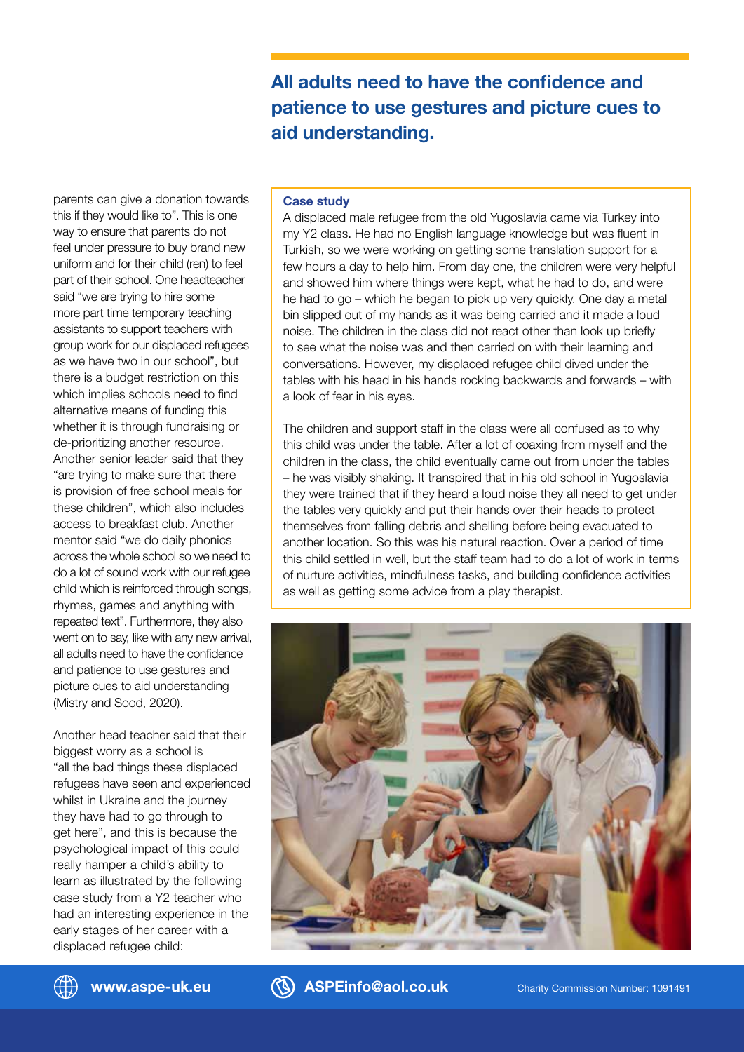**All adults need to have the confidence and patience to use gestures and picture cues to aid understanding.**

parents can give a donation towards this if they would like to". This is one way to ensure that parents do not feel under pressure to buy brand new uniform and for their child (ren) to feel part of their school. One headteacher said "we are trying to hire some more part time temporary teaching assistants to support teachers with group work for our displaced refugees as we have two in our school", but there is a budget restriction on this which implies schools need to find alternative means of funding this whether it is through fundraising or de-prioritizing another resource. Another senior leader said that they "are trying to make sure that there is provision of free school meals for these children", which also includes access to breakfast club. Another mentor said "we do daily phonics across the whole school so we need to do a lot of sound work with our refugee child which is reinforced through songs, rhymes, games and anything with repeated text". Furthermore, they also went on to say, like with any new arrival, all adults need to have the confidence and patience to use gestures and picture cues to aid understanding (Mistry and Sood, 2020).

Another head teacher said that their biggest worry as a school is "all the bad things these displaced refugees have seen and experienced whilst in Ukraine and the journey they have had to go through to get here", and this is because the psychological impact of this could really hamper a child's ability to learn as illustrated by the following case study from a Y2 teacher who had an interesting experience in the early stages of her career with a displaced refugee child:

#### **Case study**

A displaced male refugee from the old Yugoslavia came via Turkey into my Y2 class. He had no English language knowledge but was fluent in Turkish, so we were working on getting some translation support for a few hours a day to help him. From day one, the children were very helpful and showed him where things were kept, what he had to do, and were he had to go – which he began to pick up very quickly. One day a metal bin slipped out of my hands as it was being carried and it made a loud noise. The children in the class did not react other than look up briefly to see what the noise was and then carried on with their learning and conversations. However, my displaced refugee child dived under the tables with his head in his hands rocking backwards and forwards – with a look of fear in his eyes.

The children and support staff in the class were all confused as to why this child was under the table. After a lot of coaxing from myself and the children in the class, the child eventually came out from under the tables – he was visibly shaking. It transpired that in his old school in Yugoslavia they were trained that if they heard a loud noise they all need to get under the tables very quickly and put their hands over their heads to protect themselves from falling debris and shelling before being evacuated to another location. So this was his natural reaction. Over a period of time this child settled in well, but the staff team had to do a lot of work in terms of nurture activities, mindfulness tasks, and building confidence activities as well as getting some advice from a play therapist.



**www.aspe-uk.eu ASPEinfo@aol.co.uk** Charity Commission Number: 1091491